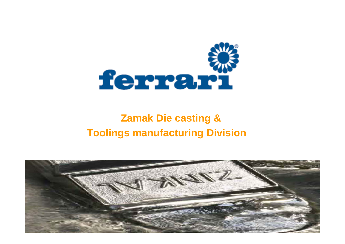

### **Zamak Die casting & Toolings manufacturing Division**

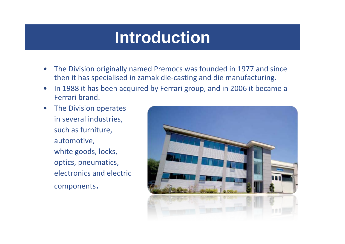## **Introduction**

- • The Division originally named Premocs was founded in 1977 and since then it has specialised in zamak die ‐casting and die manufacturing.
- •• In 1988 it has been acquired by Ferrari group, and in 2006 it became a Ferrari brand.
- $\bullet$  The Division operates in several industries, such as furniture, automotive, white goods, locks, optics, pneumatics, electronics and electric components.

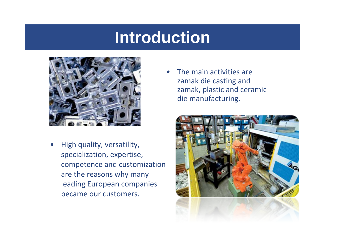### **Introduction**



• High quality, versatility, specialization, expertise, competence and customization are the reasons why many leading European companies became our customers.

•• The main activities are zamak die casting and zamak, plastic and ceramic die manufacturing.

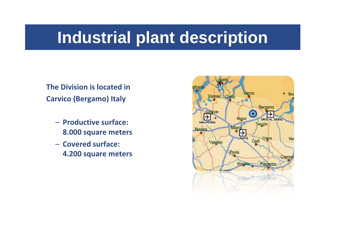# **Industrial plant description**

**The Division is located in Carvico (Bergamo) Italy**

- **Productive surface: 8.000 square meters**
- **Covered surface: 4.200 square meters**

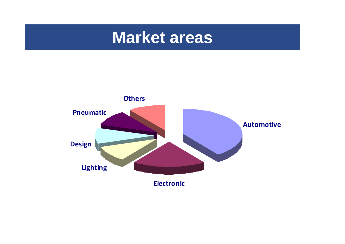### **Market areas**

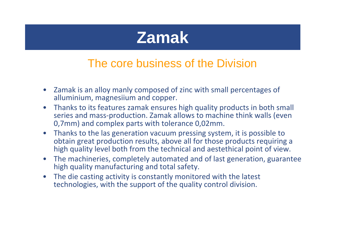### **Zamak**

### The core business of the Division

- Zamak is an alloy manly composed of zinc with small percentages of alluminium, magnesiium and copper.
- Thanks to its features zamak ensures high quality products in both small series and mass‐production. Zamak allows to machine think walls (even 0,7mm) and complex parts with tolerance 0,02mm.
- Thanks to the las generation vacuum pressing system, it is possible to obtain great production results, above all for those products requiring <sup>a</sup> high quality level both from the technical and aestethical point of view.
- $\bullet$  The machineries, completely automated and of last generation, guarantee high quality manufacturing and total safety.
- $\bullet$  The die casting activity is constantly monitored with the latest technologies, with the support of the quality control division.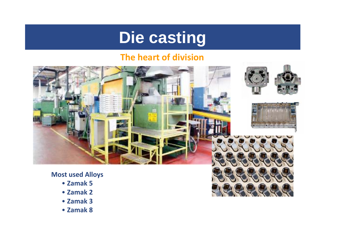### **Die casting**

#### **The heart of division**



- **Zamak 5**
- **Zamak 2**
- **Zamak 3**
- **Zamak 8**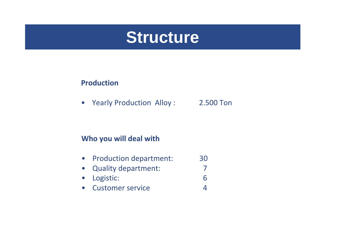

#### **Production**

 $\bullet$ Yearly Production Alloy : 2.500 Ton

7

4

#### **Who you will deal with**

- $\bullet$ • Production department: 30
- $\bullet$ Quality department:
- $\bullet$  Logistic: 6
- $\bullet$ Customer service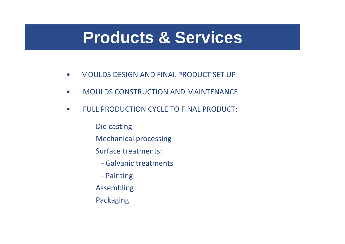### **Products & Services**

- •MOULDS DESIGN AND FINAL PRODUCT SET UP
- •MOULDS CONSTRUCTION AND MAINTENANCE
- • FULL PRODUCTION CYCLE TO FINAL PRODUCT:
	- Die casting
	- Mechanical processing
	- Surface treatments:
		- ‐ Galvanic treatments
		- ‐ Painting
	- Assembling
	- Packaging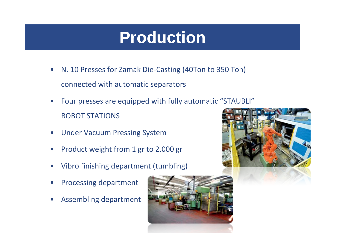# **Production**

- •● N. 10 Presses for Zamak Die-Casting (40Ton to 350 Ton) connected with automatic separators
- • Four presses are equipped with fully automatic "STAUBLI" ROBOT STATIONS
- $\bullet$ Under Vacuum Pressing System
- •Product weight from 1 gr to 2.000 gr
- •Vibro finishing department (tumbling)
- •Processing department
- •Assembling department



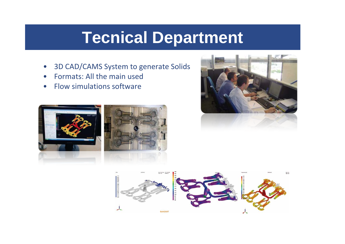## **Tecnical Department**

- $\bullet$ 3D CAD/CAMS System to generate Solids
- $\bullet$ Formats: All the main used
- •• Flow simulations software





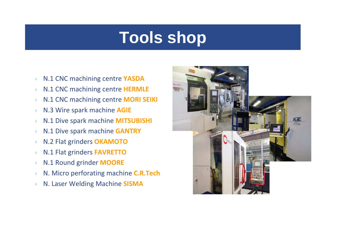# **Tools shop**

- $\blacktriangleright$ N.1 CNC machining centre **YASDA**
- $\blacktriangleright$ N.1 CNC machining centre **HERMLE**
- $\blacktriangleright$ N.1 CNC machining centre **MORI SEIKI**
- $\blacktriangleright$ N.3 Wire spark machine **AGIE**
- $\blacktriangleright$ N.1 Dive spark machine **MITSUBISHI**
- $\blacktriangleright$ N.1 Dive spark machine **GANTRY**
- $\blacktriangleright$ N.2 Flat grinders **OKAMOTO**
- $\blacktriangleright$ N.1 Flat grinders **FAVRETTO**
- $\blacktriangleright$ N.1 Round grinder **MOORE**
- $\blacktriangleright$ N. Micro perforating machine **C.R.Tech**
- $\blacktriangleright$ N. Laser Welding Machine **SISMA**

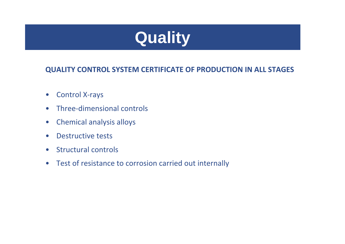

#### **QUALITY CONTROL SYSTEM CERTIFICATE OF PRODUCTION IN ALL STAGES**

- $\bullet$ Control X‐rays
- $\bullet$ Three‐dimensional controls
- $\bullet$ Chemical analysis alloys
- $\bullet$ Destructive tests
- $\bullet$ Structural controls
- $\bullet$ Test of resistance to corrosion carried out internally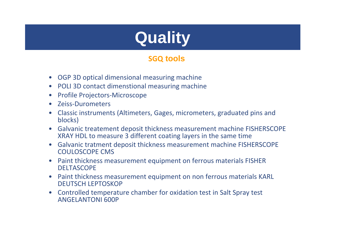# **Quality**

#### **SGQ tools**

- •OGP 3D optical dimensional measuring machine
- •POLI 3D contact dimenstional measuring machine
- •Profile Projectors‐Microscope
- •Zeiss‐Durometers
- • Classic instruments (Altimeters, Gages, micrometers, graduated pins and blocks)
- Galvanic treatement deposit thickness measurement machine FISHERSCOPE XRAY HDL to measure 3 different coating layers in the same time
- • Galvanic tratment deposit thickness measurement machine FISHERSCOPE COULOSCOPE CMS
- • Paint thickness measurement equipment on ferrous materials FISHER **DELTASCOPE**
- • Paint thickness measurement equipment on non ferrous materials KARL DEUTSCH LEPTOSKOP
- • Controlled temperature chamber for oxidation test in Salt Spray test ANGELANTONI 600P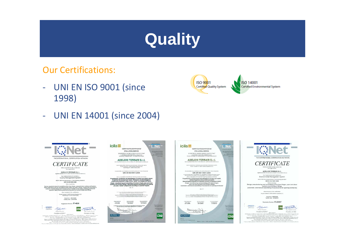# **Quality**

Our Certifications:

- $\equiv$  UNI EN ISO 9001 (since 1998)
- ‐UNI EN 14001 (since 2004)











Connect Contract Control (Connecti DOS) (Mathey Connecti District Connecti District Connecti District Connecti<br>State Connecti District Connecti District Connecti District Connecti District Connecti District Connecti<br>State